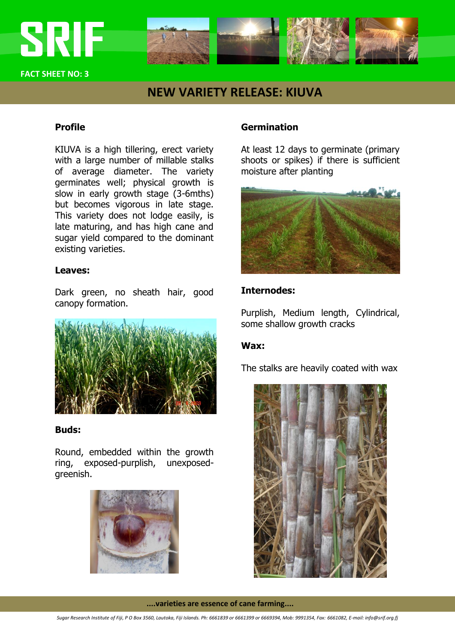

**FACT SHEET NO: 3**

# **NEW VARIETY RELEASE: KIUVA**

### **Profile**

KIUVA is a high tillering, erect variety with a large number of millable stalks of average diameter. The variety germinates well; physical growth is slow in early growth stage (3-6mths) but becomes vigorous in late stage. This variety does not lodge easily, is late maturing, and has high cane and sugar yield compared to the dominant existing varieties.

### **Leaves:**

Dark green, no sheath hair, good canopy formation.



### **Buds:**

Round, embedded within the growth ring, exposed-purplish, unexposedgreenish.



## **Germination**

At least 12 days to germinate (primary shoots or spikes) if there is sufficient moisture after planting



## **Internodes:**

Purplish, Medium length, Cylindrical, some shallow growth cracks

### **Wax:**

The stalks are heavily coated with wax



**....varieties are essence of cane farming....**